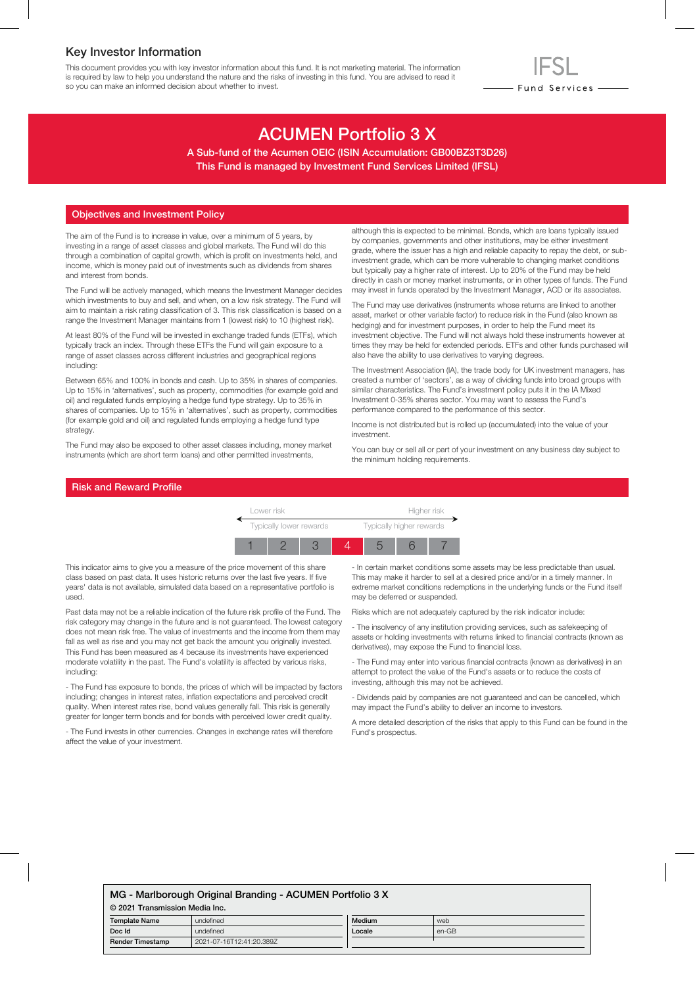### Key Investor Information

This document provides you with key investor information about this fund. It is not marketing material. The information is required by law to help you understand the nature and the risks of investing in this fund. You are advised to read it so you can make an informed decision about whether to invest.

# ACUMEN Portfolio 3 X

A Sub-fund of the Acumen OEIC (ISIN Accumulation: GB00BZ3T3D26) This Fund is managed by Investment Fund Services Limited (IFSL)

#### Objectives and Investment Policy

The aim of the Fund is to increase in value, over a minimum of 5 years, by investing in a range of asset classes and global markets. The Fund will do this through a combination of capital growth, which is profit on investments held, and income, which is money paid out of investments such as dividends from shares and interest from bonds.

The Fund will be actively managed, which means the Investment Manager decides which investments to buy and sell, and when, on a low risk strategy. The Fund will aim to maintain a risk rating classification of 3. This risk classification is based on a range the Investment Manager maintains from 1 (lowest risk) to 10 (highest risk).

At least 80% of the Fund will be invested in exchange traded funds (ETFs), which typically track an index. Through these ETFs the Fund will gain exposure to a range of asset classes across different industries and geographical regions including:

Between 65% and 100% in bonds and cash. Up to 35% in shares of companies. Up to 15% in 'alternatives', such as property, commodities (for example gold and oil) and regulated funds employing a hedge fund type strategy. Up to 35% in shares of companies. Up to 15% in 'alternatives', such as property, commodities (for example gold and oil) and regulated funds employing a hedge fund type strategy.

The Fund may also be exposed to other asset classes including, money market instruments (which are short term loans) and other permitted investments,

although this is expected to be minimal. Bonds, which are loans typically issued by companies, governments and other institutions, may be either investment grade, where the issuer has a high and reliable capacity to repay the debt, or subinvestment grade, which can be more vulnerable to changing market conditions but typically pay a higher rate of interest. Up to 20% of the Fund may be held directly in cash or money market instruments, or in other types of funds. The Fund may invest in funds operated by the Investment Manager, ACD or its associates.

- Fund Services —

The Fund may use derivatives (instruments whose returns are linked to another asset, market or other variable factor) to reduce risk in the Fund (also known as hedging) and for investment purposes, in order to help the Fund meet its investment objective. The Fund will not always hold these instruments however at times they may be held for extended periods. ETFs and other funds purchased will also have the ability to use derivatives to varying degrees.

The Investment Association (IA), the trade body for UK investment managers, has created a number of 'sectors', as a way of dividing funds into broad groups with similar characteristics. The Fund's investment policy puts it in the IA Mixed Investment 0-35% shares sector. You may want to assess the Fund's performance compared to the performance of this sector.

Income is not distributed but is rolled up (accumulated) into the value of your investment.

You can buy or sell all or part of your investment on any business day subject to the minimum holding requirements.

#### Risk and Reward Profile



This indicator aims to give you a measure of the price movement of this share class based on past data. It uses historic returns over the last five years. If five years' data is not available, simulated data based on a representative portfolio is used.

Past data may not be a reliable indication of the future risk profile of the Fund. The risk category may change in the future and is not guaranteed. The lowest category does not mean risk free. The value of investments and the income from them may fall as well as rise and you may not get back the amount you originally invested. This Fund has been measured as 4 because its investments have experienced moderate volatility in the past. The Fund's volatility is affected by various risks, including:

- The Fund has exposure to bonds, the prices of which will be impacted by factors including; changes in interest rates, inflation expectations and perceived credit quality. When interest rates rise, bond values generally fall. This risk is generally greater for longer term bonds and for bonds with perceived lower credit quality.

- The Fund invests in other currencies. Changes in exchange rates will therefore affect the value of your investment.

- In certain market conditions some assets may be less predictable than usual. This may make it harder to sell at a desired price and/or in a timely manner. In extreme market conditions redemptions in the underlying funds or the Fund itself may be deferred or suspended.

Risks which are not adequately captured by the risk indicator include:

- The insolvency of any institution providing services, such as safekeeping of assets or holding investments with returns linked to financial contracts (known as derivatives), may expose the Fund to financial loss.

- The Fund may enter into various financial contracts (known as derivatives) in an attempt to protect the value of the Fund's assets or to reduce the costs of investing, although this may not be achieved.

- Dividends paid by companies are not guaranteed and can be cancelled, which may impact the Fund's ability to deliver an income to investors.

A more detailed description of the risks that apply to this Fund can be found in the Fund's prospectus.